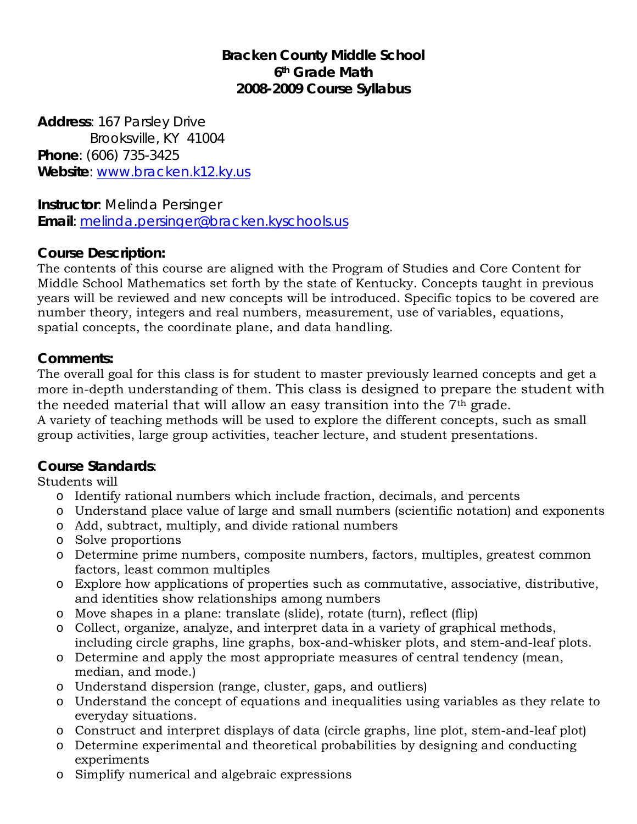# **Bracken County Middle School 6th Grade Math 2008-2009 Course Syllabus**

**Address**: 167 Parsley Drive Brooksville, KY 41004 **Phone**: (606) 735-3425 **Website**: [www.bracken.k12.ky.us](http://www.bracken.k12.ky.us/)

**Instructor**: Melinda Persinger **Email**: [melinda.persinger@bracken.kyschools.us](mailto:melinda.persinger@bracken.kyschools.us)

## **Course Description:**

The contents of this course are aligned with the Program of Studies and Core Content for Middle School Mathematics set forth by the state of Kentucky. Concepts taught in previous years will be reviewed and new concepts will be introduced. Specific topics to be covered are number theory, integers and real numbers, measurement, use of variables, equations, spatial concepts, the coordinate plane, and data handling.

## **Comments:**

The overall goal for this class is for student to master previously learned concepts and get a more in-depth understanding of them. This class is designed to prepare the student with the needed material that will allow an easy transition into the 7th grade.

A variety of teaching methods will be used to explore the different concepts, such as small group activities, large group activities, teacher lecture, and student presentations.

#### **Course Standards**:

Students will

- o Identify rational numbers which include fraction, decimals, and percents
- o Understand place value of large and small numbers (scientific notation) and exponents
- o Add, subtract, multiply, and divide rational numbers
- o Solve proportions
- o Determine prime numbers, composite numbers, factors, multiples, greatest common factors, least common multiples
- o Explore how applications of properties such as commutative, associative, distributive, and identities show relationships among numbers
- o Move shapes in a plane: translate (slide), rotate (turn), reflect (flip)
- o Collect, organize, analyze, and interpret data in a variety of graphical methods, including circle graphs, line graphs, box-and-whisker plots, and stem-and-leaf plots.
- o Determine and apply the most appropriate measures of central tendency (mean, median, and mode.)
- o Understand dispersion (range, cluster, gaps, and outliers)
- o Understand the concept of equations and inequalities using variables as they relate to everyday situations.
- o Construct and interpret displays of data (circle graphs, line plot, stem-and-leaf plot)
- o Determine experimental and theoretical probabilities by designing and conducting experiments
- o Simplify numerical and algebraic expressions